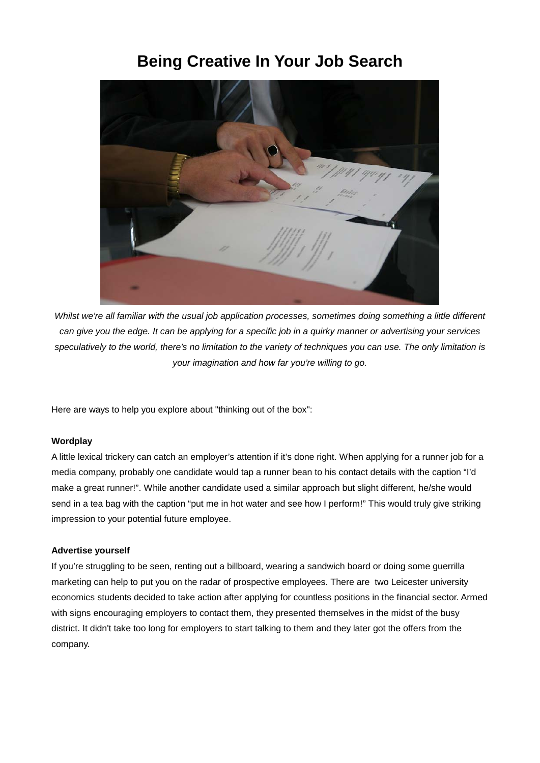# **Being Creative In Your Job Search**



*Whilst we're all familiar with the usual job application processes, sometimes doing something a little different can give you the edge. It can be applying for a specific job in a quirky manner or advertising your services speculatively to the world, there's no limitation to the variety of techniques you can use. The only limitation is your imagination and how far you're willing to go.*

Here are ways to help you explore about "thinking out of the box":

# **Wordplay**

A little lexical trickery can catch an employer's attention if it's done right. When applying for a runner job for a media company, probably one candidate would tap a runner bean to his contact details with the caption "I'd make a great runner!". While another candidate used a similar approach but slight different, he/she would send in a tea bag with the caption "put me in hot water and see how I perform!" This would truly give striking impression to your potential future employee.

## **Advertise yourself**

If you're struggling to be seen, renting out a billboard, wearing a sandwich board or doing some guerrilla marketing can help to put you on the radar of prospective employees. There are two Leicester university economics students decided to take action after applying for countless positions in the financial sector. Armed with signs encouraging employers to contact them, they presented themselves in the midst of the busy district. It didn't take too long for employers to start talking to them and they later got the offers from the company.